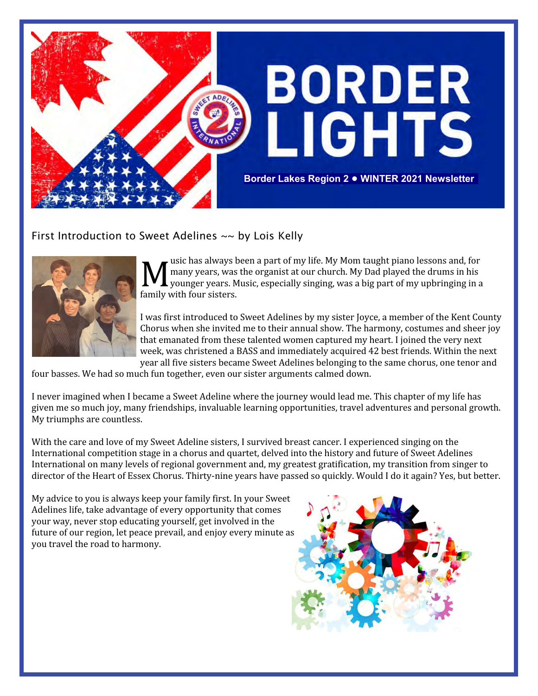

First Introduction to Sweet Adelines  $\sim$  by Lois Kelly



**M** usic has always b<br>younger years, was<br>family with four sisters. usic has always been a part of my life. My Mom taught piano lessons and, for many years, was the organist at our church. My Dad played the drums in his younger years. Music, especially singing, was a big part of my upbringing in a

I was first introduced to Sweet Adelines by my sister Joyce, a member of the Kent County Chorus when she invited me to their annual show. The harmony, costumes and sheer joy that emanated from these talented women captured my heart. I joined the very next week, was christened a BASS and immediately acquired 42 best friends. Within the next year all five sisters became Sweet Adelines belonging to the same chorus, one tenor and

four basses. We had so much fun together, even our sister arguments calmed down.

I never imagined when I became a Sweet Adeline where the journey would lead me. This chapter of my life has given me so much joy, many friendships, invaluable learning opportunities, travel adventures and personal growth. My triumphs are countless.

With the care and love of my Sweet Adeline sisters, I survived breast cancer. I experienced singing on the International competition stage in a chorus and quartet, delved into the history and future of Sweet Adelines International on many levels of regional government and, my greatest gratification, my transition from singer to director of the Heart of Essex Chorus. Thirty-nine years have passed so quickly. Would I do it again? Yes, but better.

My advice to you is always keep your family first. In your Sweet Adelines life, take advantage of every opportunity that comes your way, never stop educating yourself, get involved in the future of our region, let peace prevail, and enjoy every minute as you travel the road to harmony.

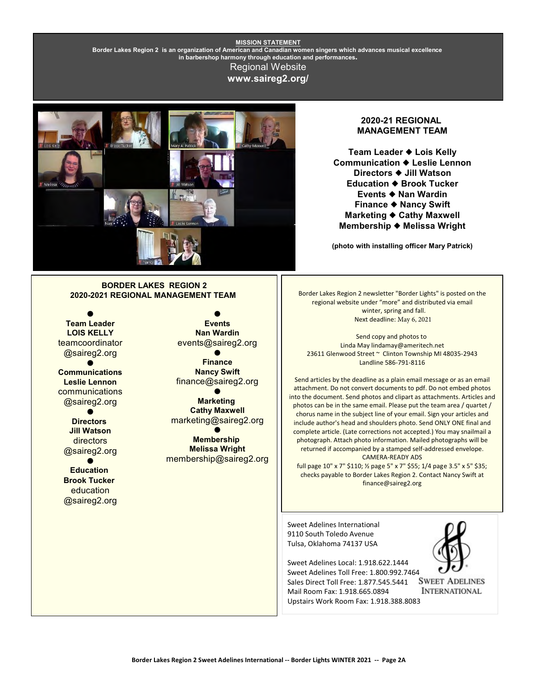#### **MISSION STATEMENT Border Lakes Region 2 is an organization of American and Canadian women singers which advances musical excellence in barbershop harmony through education and performances.** Regional Website **www.saireg2.org/**



#### **2020-21 REGIONAL MANAGEMENT TEAM**

**Team Leader Lois Kelly Communication Leslie Lennon Directors Jill Watson Education ♦ Brook Tucker Events Nan Wardin Finance Nancy Swift Marketing ♦ Cathy Maxwell Membership Melissa Wright**

**(photo with installing officer Mary Patrick)**

#### **BORDER LAKES REGION 2 2020-2021 REGIONAL MANAGEMENT TEAM**

 $\bullet$ **Team Leader LOIS KELLY** teamcoordinator @saireg2.org  $\bullet$ **Communications Leslie Lennon** communications @saireg2.org  $\bullet$ **Directors Jill Watson** directors @saireg2.org  $\bullet$ **Education Brook Tucker** education

@saireg2.org

 $\bullet$ **Events Nan Wardin** events@saireg2.org  $\bullet$ 

**Finance Nancy Swift** finance@saireg2.org

 $\bullet$ **Marketing Cathy Maxwell** marketing@saireg2.org

 $\bullet$ **Membership Melissa Wright** membership@saireg2.org Border Lakes Region 2 newsletter "Border Lights" is posted on the regional website under "more" and distributed via email winter, spring and fall. Next deadline: May 6, 2021

Send copy and photos to Linda May lindamay@ameritech.net 23611 Glenwood Street ~ Clinton Township MI 48035-2943 Landline 586-791-8116

Send articles by the deadline as a plain email message or as an email attachment. Do not convert documents to pdf. Do not embed photos into the document. Send photos and clipart as attachments. Articles and photos can be in the same email. Please put the team area / quartet / chorus name in the subject line of your email. Sign your articles and include author's head and shoulders photo. Send ONLY ONE final and complete article. (Late corrections not accepted.) You may snailmail a photograph. Attach photo information. Mailed photographs will be returned if accompanied by a stamped self-addressed envelope. CAMERA-READY ADS

full page 10" x 7" \$110; % page 5" x 7" \$55; 1/4 page 3.5" x 5" \$35; checks payable to Border Lakes Region 2. Contact Nancy Swift at finance@saireg2.org

Sweet Adelines International 9110 South Toledo Avenue Tulsa, Oklahoma 74137 USA

Sweet Adelines Local: 1.918.622.1444 Sweet Adelines Toll Free: 1.800.992.7464<br>Sales Direct Toll Free: 1.877.545.5441 SWEET ADELINES Sales Direct Toll Free: 1.877.545.5441 Mail Room Fax: 1.918.665.0894 Upstairs Work Room Fax: 1.918.388.8083



**INTERNATIONAL**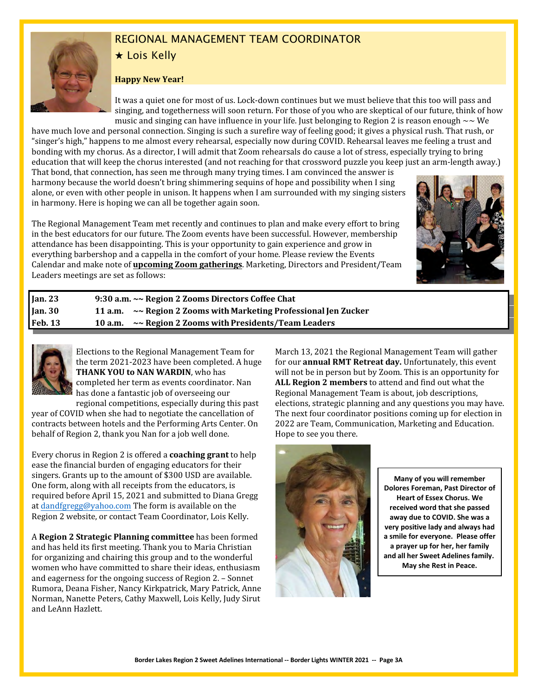

# REGIONAL MANAGEMENT TEAM COORDINATOR

### $\star$  Lois Kelly

#### **Happy New Year!**

It was a quiet one for most of us. Lock-down continues but we must believe that this too will pass and singing, and togetherness will soon return. For those of you who are skeptical of our future, think of how music and singing can have influence in your life. Just belonging to Region 2 is reason enough  $\sim \mathsf{We}$ 

have much love and personal connection. Singing is such a surefire way of feeling good; it gives a physical rush. That rush, or "singer's high," happens to me almost every rehearsal, especially now during COVID. Rehearsal leaves me feeling a trust and bonding with my chorus. As a director, I will admit that Zoom rehearsals do cause a lot of stress, especially trying to bring education that will keep the chorus interested (and not reaching for that crossword puzzle you keep just an arm-length away.)

That bond, that connection, has seen me through many trying times. I am convinced the answer is harmony because the world doesn't bring shimmering sequins of hope and possibility when I sing alone, or even with other people in unison. It happens when I am surrounded with my singing sisters in harmony. Here is hoping we can all be together again soon.

The Regional Management Team met recently and continues to plan and make every effort to bring in the best educators for our future. The Zoom events have been successful. However, membership attendance has been disappointing. This is your opportunity to gain experience and grow in everything barbershop and a cappella in the comfort of your home. Please review the Events Calendar and make note of **upcoming Zoom gatherings**. Marketing, Directors and President/Team Leaders meetings are set as follows:



| Jan.30<br>11 a.m. $\sim$ Region 2 Zooms with Marketing Professional Jen Zucker<br><b>Feb. 13</b><br>~~ Region 2 Zooms with Presidents/Team Leaders<br>10 a.m. | <b>Jan. 23</b> | 9:30 a.m. ~~ Region 2 Zooms Directors Coffee Chat |
|---------------------------------------------------------------------------------------------------------------------------------------------------------------|----------------|---------------------------------------------------|
|                                                                                                                                                               |                |                                                   |
|                                                                                                                                                               |                |                                                   |



Elections to the Regional Management Team for the term 2021-2023 have been completed. A huge **THANK YOU to NAN WARDIN**, who has completed her term as events coordinator. Nan has done a fantastic job of overseeing our

regional competitions, especially during this past year of COVID when she had to negotiate the cancellation of contracts between hotels and the Performing Arts Center. On behalf of Region 2, thank you Nan for a job well done.

Every chorus in Region 2 is offered a **coaching grant** to help ease the financial burden of engaging educators for their singers. Grants up to the amount of \$300 USD are available. One form, along with all receipts from the educators, is required before April 15, 2021 and submitted to Diana Gregg at [dandfgregg@yahoo.com](mailto:dandfgregg@yahoo.com) The form is available on the Region 2 website, or contact Team Coordinator, Lois Kelly.

A **Region 2 Strategic Planning committee** has been formed and has held its first meeting. Thank you to Maria Christian for organizing and chairing this group and to the wonderful women who have committed to share their ideas, enthusiasm and eagerness for the ongoing success of Region 2. – Sonnet Rumora, Deana Fisher, Nancy Kirkpatrick, Mary Patrick, Anne Norman, Nanette Peters, Cathy Maxwell, Lois Kelly, Judy Sirut and LeAnn Hazlett.

March 13, 2021 the Regional Management Team will gather for our **annual RMT Retreat day.** Unfortunately, this event will not be in person but by Zoom. This is an opportunity for **ALL Region 2 members** to attend and find out what the Regional Management Team is about, job descriptions, elections, strategic planning and any questions you may have. The next four coordinator positions coming up for election in 2022 are Team, Communication, Marketing and Education. Hope to see you there.



**Many of you will remember Dolores Foreman, Past Director of Heart of Essex Chorus. We received word that she passed away due to COVID. She was a very positive lady and always had a smile for everyone. Please offer a prayer up for her, her family and all her Sweet Adelines family. May she Rest in Peace.**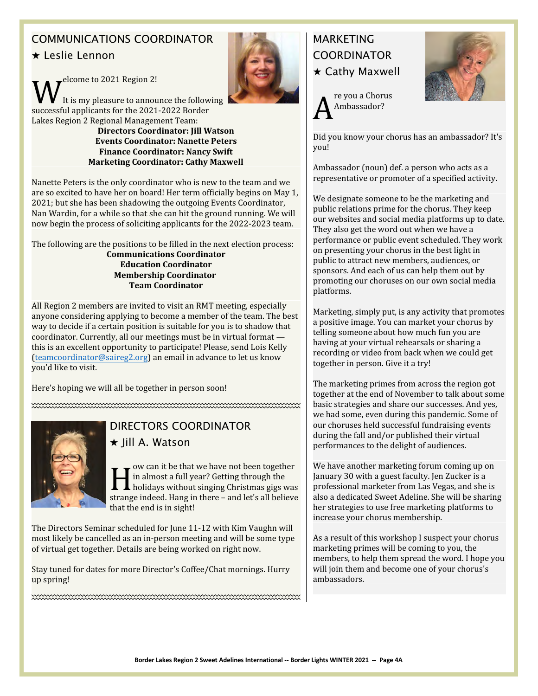# COMMUNICATIONS COORDINATOR

## $\star$  Leslie Lennon

 $\mathbf{W}^\text{elcome to 2021 Region 2!}_{\text{It is my pleasure to announce the follow successful applicants for the 2021-2022 Border}$ elcome to 2021 Region 2! It is my pleasure to announce the following Lakes Region 2 Regional Management Team: **Directors Coordinator: Jill Watson**

**Events Coordinator: Nanette Peters Finance Coordinator: Nancy Swift Marketing Coordinator: Cathy Maxwell**

Nanette Peters is the only coordinator who is new to the team and we are so excited to have her on board! Her term officially begins on May 1, 2021; but she has been shadowing the outgoing Events Coordinator, Nan Wardin, for a while so that she can hit the ground running. We will now begin the process of soliciting applicants for the 2022-2023 team.

The following are the positions to be filled in the next election process: **Communications Coordinator Education Coordinator Membership Coordinator Team Coordinator**

All Region 2 members are invited to visit an RMT meeting, especially anyone considering applying to become a member of the team. The best way to decide if a certain position is suitable for you is to shadow that coordinator. Currently, all our meetings must be in virtual format this is an excellent opportunity to participate! Please, send Lois Kelly [\(teamcoordinator@saireg2.org](file:///|//teamcoordinator@saireg2.org)) an email in advance to let us know you'd like to visit.

Here's hoping we will all be together in person soon!



# DIRECTORS COORDINATOR

#### $\star$  Jill A. Watson

I we can it be that we have not been together<br>in almost a full year? Getting through the<br>holidays without singing Christmas gigs was<br>strange indeed. Hang in there – and let's all believe ow can it be that we have not been together in almost a full year? Getting through the  $\blacksquare$  holidays without singing Christmas gigs was that the end is in sight!

The Directors Seminar scheduled for June 11-12 with Kim Vaughn will most likely be cancelled as an in-person meeting and will be some type of virtual get together. Details are being worked on right now.

Stay tuned for dates for more Director's Coffee/Chat mornings. Hurry up spring!

# **MARKFTING COORDINATOR**  $\star$  Cathy Maxwell

A re you a Chorus Ambassador?



Did you know your chorus has an ambassador? It's you!

Ambassador (noun) def. a person who acts as a representative or promoter of a specified activity.

We designate someone to be the marketing and public relations prime for the chorus. They keep our websites and social media platforms up to date. They also get the word out when we have a performance or public event scheduled. They work on presenting your chorus in the best light in public to attract new members, audiences, or sponsors. And each of us can help them out by promoting our choruses on our own social media platforms.

Marketing, simply put, is any activity that promotes a positive image. You can market your chorus by telling someone about how much fun you are having at your virtual rehearsals or sharing a recording or video from back when we could get together in person. Give it a try!

The marketing primes from across the region got together at the end of November to talk about some basic strategies and share our successes. And yes, we had some, even during this pandemic. Some of our choruses held successful fundraising events during the fall and/or published their virtual performances to the delight of audiences.

We have another marketing forum coming up on January 30 with a guest faculty. Jen Zucker is a professional marketer from Las Vegas, and she is also a dedicated Sweet Adeline. She will be sharing her strategies to use free marketing platforms to increase your chorus membership.

As a result of this workshop I suspect your chorus marketing primes will be coming to you, the members, to help them spread the word. I hope you will join them and become one of your chorus's ambassadors.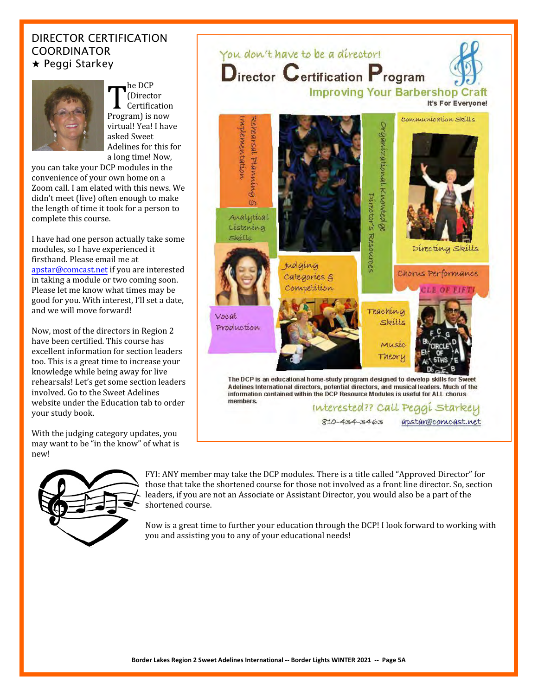### DIRECTOR CERTIFICATION COORDINATOR  $\star$  Peggi Starkey



**T**<br>
(Director<br>
Program) is now he DCP (Director Certification virtual! Yea! I have asked Sweet Adelines for this for a long time! Now,

you can take your DCP modules in the convenience of your own home on a Zoom call. I am elated with this news. We didn't meet (live) often enough to make the length of time it took for a person to complete this course.

I have had one person actually take some modules, so I have experienced it firsthand. Please email me at [apstar@comcast.net](mailto:apstar@comcast.net) if you are interested in taking a module or two coming soon. Please let me know what times may be good for you. With interest, I'll set a date, and we will move forward!

Now, most of the directors in Region 2 have been certified. This course has excellent information for section leaders too. This is a great time to increase your knowledge while being away for live rehearsals! Let's get some section leaders involved. Go to the Sweet Adelines website under the Education tab to order your study book.

With the judging category updates, you may want to be "in the know" of what is new!



You don't have to be a director! Director Certification Program **Improving Your Barbershop Craft** It's For Everyone! Communication Skills MATREMENTALION Schearsal Franning Organizational Knowledge PLIPOTON'S RESOURCES  $\omega$ Analytical Listening Skills Directing Skills *Judging* Chorus Performance categories & Convertition Teaching Vocat Skills Production Music Theory The DCP is an educational home-study program designed to develop skills for Sweet Adelines International directors, potential directors, and musical leaders. Much of the information contained within the DCP Resource Modules is useful for ALL chorus members. Interested?? Call Peggi Starkey  $810 - 434 - 3463$ apstar@comcast.net

FYI: ANY member may take the DCP modules. There is a title called "Approved Director" for those that take the shortened course for those not involved as a front line director. So, section leaders, if you are not an Associate or Assistant Director, you would also be a part of the shortened course.

Now is a great time to further your education through the DCP! I look forward to working with you and assisting you to any of your educational needs!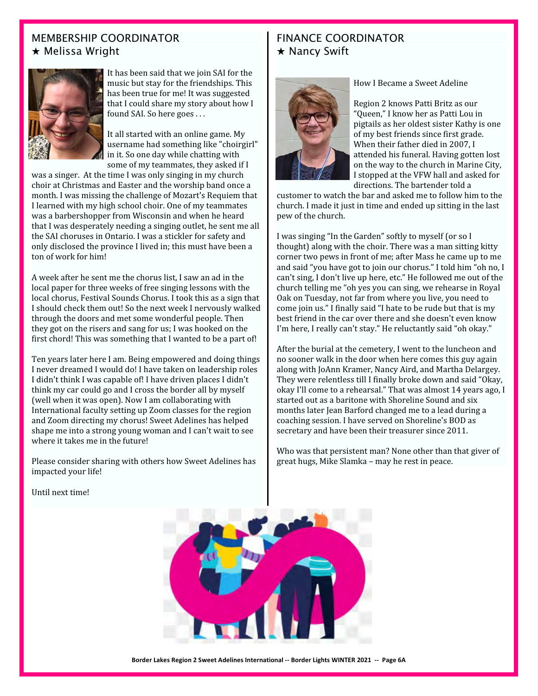### MEMBERSHIP COORDINATOR  $\star$  Melissa Wright



It has been said that we join SAI for the music but stay for the friendships. This has been true for me! It was suggested that I could share my story about how I found SAI. So here goes . . .

It all started with an online game. My username had something like "choirgirl" in it. So one day while chatting with some of my teammates, they asked if I

was a singer. At the time I was only singing in my church choir at Christmas and Easter and the worship band once a month. I was missing the challenge of Mozart's Requiem that I learned with my high school choir. One of my teammates was a barbershopper from Wisconsin and when he heard that I was desperately needing a singing outlet, he sent me all the SAI choruses in Ontario. I was a stickler for safety and only disclosed the province I lived in; this must have been a ton of work for him!

A week after he sent me the chorus list, I saw an ad in the local paper for three weeks of free singing lessons with the local chorus, Festival Sounds Chorus. I took this as a sign that I should check them out! So the next week I nervously walked through the doors and met some wonderful people. Then they got on the risers and sang for us; I was hooked on the first chord! This was something that I wanted to be a part of!

Ten years later here I am. Being empowered and doing things I never dreamed I would do! I have taken on leadership roles I didn't think I was capable of! I have driven places I didn't think my car could go and I cross the border all by myself (well when it was open). Now I am collaborating with International faculty setting up Zoom classes for the region and Zoom directing my chorus! Sweet Adelines has helped shape me into a strong young woman and I can't wait to see where it takes me in the future!

Please consider sharing with others how Sweet Adelines has impacted your life!

### FINANCE COORDINATOR  $\star$  Nancy Swift



#### How I Became a Sweet Adeline

Region 2 knows Patti Britz as our "Queen," I know her as Patti Lou in pigtails as her oldest sister Kathy is one of my best friends since first grade. When their father died in 2007, I attended his funeral. Having gotten lost on the way to the church in Marine City, I stopped at the VFW hall and asked for directions. The bartender told a

customer to watch the bar and asked me to follow him to the church. I made it just in time and ended up sitting in the last pew of the church.

I was singing "In the Garden" softly to myself (or so I thought) along with the choir. There was a man sitting kitty corner two pews in front of me; after Mass he came up to me and said "you have got to join our chorus." I told him "oh no, I can't sing, I don't live up here, etc." He followed me out of the church telling me "oh yes you can sing, we rehearse in Royal Oak on Tuesday, not far from where you live, you need to come join us." I finally said "I hate to be rude but that is my best friend in the car over there and she doesn't even know I'm here, I really can't stay." He reluctantly said "oh okay."

After the burial at the cemetery, I went to the luncheon and no sooner walk in the door when here comes this guy again along with JoAnn Kramer, Nancy Aird, and Martha Delargey. They were relentless till I finally broke down and said "Okay, okay I'll come to a rehearsal." That was almost 14 years ago, I started out as a baritone with Shoreline Sound and six months later Jean Barford changed me to a lead during a coaching session. I have served on Shoreline's BOD as secretary and have been their treasurer since 2011.

Who was that persistent man? None other than that giver of great hugs, Mike Slamka – may he rest in peace.



**Border Lakes Region 2 Sweet Adelines International -- Border Lights WINTER 2021 -- Page 6A**

Until next time!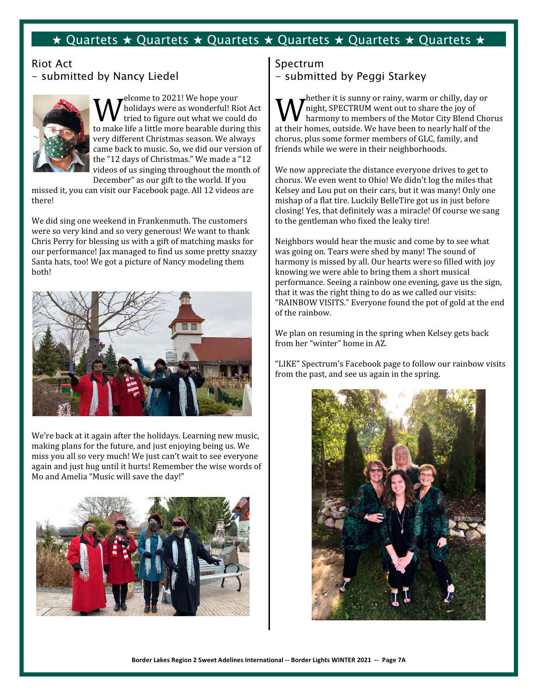### $\star$  Quartets  $\star$  Quartets  $\star$  Quartets  $\star$  Quartets  $\star$  Quartets  $\star$  Quartets  $\star$

### Riot Act - submitted by Nancy Liedel



 $\mathbf{W}^\text{elcome to 2021! We hope your}\ \text{tried to figure out what we could do to make life a little more bearable during this}$ elcome to 2021! We hope your holidays were as wonderful! Riot Act tried to figure out what we could do very different Christmas season. We always came back to music. So, we did our version of the "12 days of Christmas." We made a "12 videos of us singing throughout the month of December" as our gift to the world. If you

missed it, you can visit our Facebook page. All 12 videos are there!

We did sing one weekend in Frankenmuth. The customers were so very kind and so very generous! We want to thank Chris Perry for blessing us with a gift of matching masks for our performance! Jax managed to find us some pretty snazzy Santa hats, too! We got a picture of Nancy modeling them both!



We're back at it again after the holidays. Learning new music, making plans for the future, and just enjoying being us. We miss you all so very much! We just can't wait to see everyone again and just hug until it hurts! Remember the wise words of Mo and Amelia "Music will save the day!"



# Spectrum - submitted by Peggi Starkey

**W** hether it is sunny or rainy, warm or chilly, day or harmony to members of the Motor City Blend Cho at their homes, outside. We have been to nearly half of the hether it is sunny or rainy, warm or chilly, day or night, SPECTRUM went out to share the joy of harmony to members of the Motor City Blend Chorus chorus, plus some former members of GLC, family, and friends while we were in their neighborhoods.

We now appreciate the distance everyone drives to get to chorus. We even went to Ohio! We didn't log the miles that Kelsey and Lou put on their cars, but it was many! Only one mishap of a flat tire. Luckily BelleTire got us in just before closing! Yes, that definitely was a miracle! Of course we sang to the gentleman who fixed the leaky tire!

Neighbors would hear the music and come by to see what was going on. Tears were shed by many! The sound of harmony is missed by all. Our hearts were so filled with joy knowing we were able to bring them a short musical performance. Seeing a rainbow one evening, gave us the sign, that it was the right thing to do as we called our visits: "RAINBOW VISITS." Everyone found the pot of gold at the end of the rainbow.

We plan on resuming in the spring when Kelsey gets back from her "winter" home in AZ.

"LIKE" Spectrum's Facebook page to follow our rainbow visits from the past, and see us again in the spring.